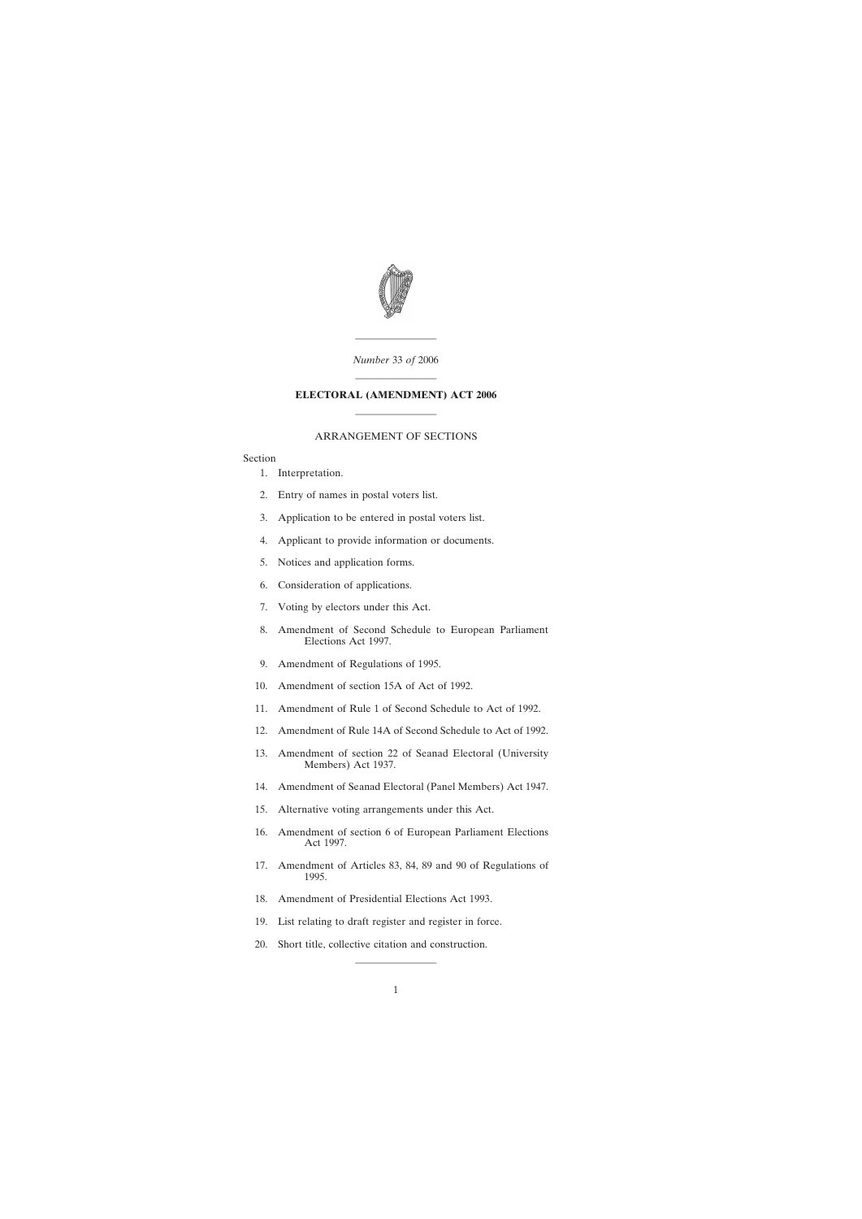

———————— *Number* 33 *of* 2006

# ———————— **ELECTORAL (AMENDMENT) ACT 2006** ————————

### ARRANGEMENT OF SECTIONS

## Section

- [1. Interpretation.](#page-2-0)
- [2. Entry of names in postal voters list.](#page-3-0)
- [3. Application to be entered in postal voters list.](#page-3-0)
- [4. Applicant to provide information or documents.](#page-3-0)
- [5. Notices and application forms.](#page-4-0)
- [6. Consideration of applications.](#page-4-0)
- [7. Voting by electors under this Act.](#page-5-0)
- [8. Amendment of Second Schedule to European Parliament](#page-7-0) Elections Act 1997.
- [9. Amendment of Regulations of 1995.](#page-8-0)
- [10. Amendment of section 15A of Act of 1992.](#page-9-0)
- [11. Amendment of Rule 1 of Second Schedule to Act of 1992.](#page-10-0)
- [12. Amendment of Rule 14A of Second Schedule to Act of 1992.](#page-10-0)
- [13. Amendment of section 22 of Seanad Electoral \(University](#page-11-0) Members) Act 1937.
- [14. Amendment of Seanad Electoral \(Panel Members\) Act 1947.](#page-11-0)
- [15. Alternative voting arrangements under this Act.](#page-12-0)
- [16. Amendment of section 6 of European Parliament Elections](#page-13-0) Act 1997.
- [17. Amendment of Articles 83, 84, 89 and 90 of Regulations of](#page-14-0) 1995.
- [18. Amendment of Presidential Elections Act 1993.](#page-14-0)
- [19. List relating to draft register and register in force.](#page-14-0)
- [20. Short title, collective citation and construction.](#page-15-0)

————————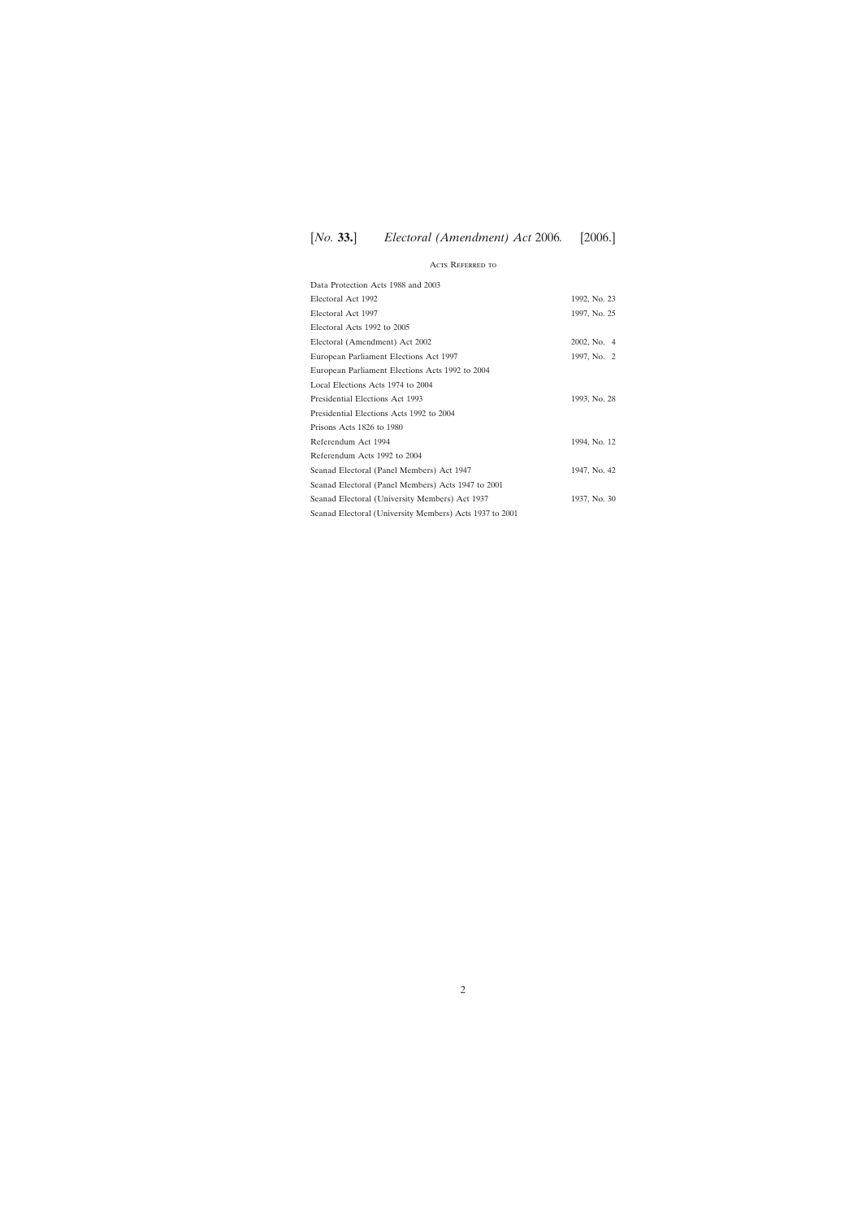## Acts Referred to

| Data Protection Acts 1988 and 2003                      |              |
|---------------------------------------------------------|--------------|
| Electoral Act 1992                                      | 1992, No. 23 |
| Electoral Act 1997                                      | 1997, No. 25 |
| Electoral Acts 1992 to 2005                             |              |
| Electoral (Amendment) Act 2002                          | 2002, No. 4  |
| European Parliament Elections Act 1997                  | 1997, No. 2  |
| European Parliament Elections Acts 1992 to 2004         |              |
| Local Elections Acts 1974 to 2004                       |              |
| Presidential Elections Act 1993                         | 1993, No. 28 |
| Presidential Elections Acts 1992 to 2004                |              |
| Prisons Acts 1826 to 1980                               |              |
| Referendum Act 1994                                     | 1994, No. 12 |
| Referendum Acts 1992 to 2004                            |              |
| Seanad Electoral (Panel Members) Act 1947               | 1947, No. 42 |
| Seanad Electoral (Panel Members) Acts 1947 to 2001      |              |
| Seanad Electoral (University Members) Act 1937          | 1937, No. 30 |
| Seanad Electoral (University Members) Acts 1937 to 2001 |              |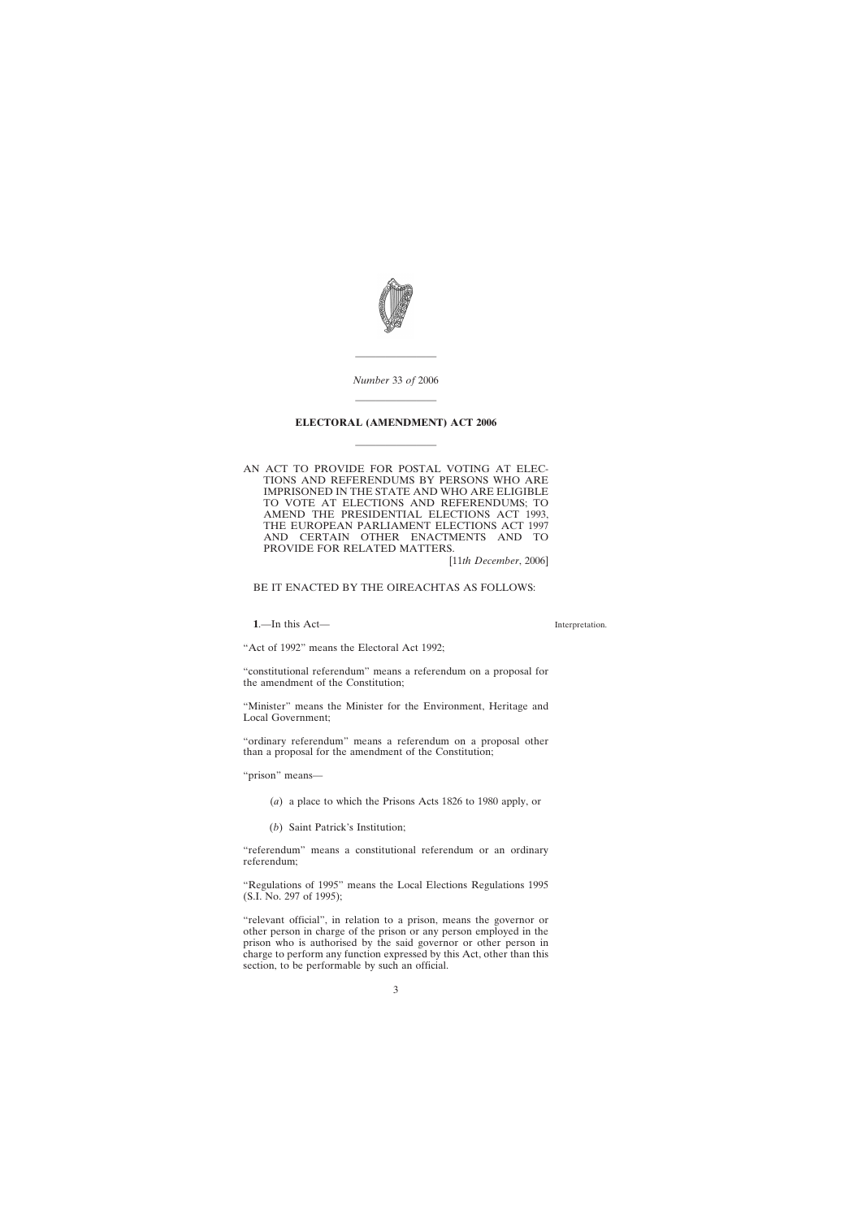<span id="page-2-0"></span>

*Number* 33 *of* 2006

————————

————————

### **ELECTORAL (AMENDMENT) ACT 2006**

————————

AN ACT TO PROVIDE FOR POSTAL VOTING AT ELEC-TIONS AND REFERENDUMS BY PERSONS WHO ARE IMPRISONED IN THE STATE AND WHO ARE ELIGIBLE TO VOTE AT ELECTIONS AND REFERENDUMS; TO AMEND THE PRESIDENTIAL ELECTIONS ACT 1993, THE EUROPEAN PARLIAMENT ELECTIONS ACT 1997 AND CERTAIN OTHER ENACTMENTS AND TO PROVIDE FOR RELATED MATTERS.

[11*th December*, 2006]

BE IT ENACTED BY THE OIREACHTAS AS FOLLOWS:

**1**.—In this Act—

Interpretation.

"Act of 1992" means the Electoral Act 1992;

"constitutional referendum" means a referendum on a proposal for the amendment of the Constitution;

"Minister" means the Minister for the Environment, Heritage and Local Government;

"ordinary referendum" means a referendum on a proposal other than a proposal for the amendment of the Constitution;

"prison" means—

- (*a*) a place to which the Prisons Acts 1826 to 1980 apply, or
- (*b*) Saint Patrick's Institution;

"referendum" means a constitutional referendum or an ordinary referendum;

"Regulations of 1995" means the Local Elections Regulations 1995 (S.I. No. 297 of 1995);

"relevant official", in relation to a prison, means the governor or other person in charge of the prison or any person employed in the prison who is authorised by the said governor or other person in charge to perform any function expressed by this Act, other than this section, to be performable by such an official.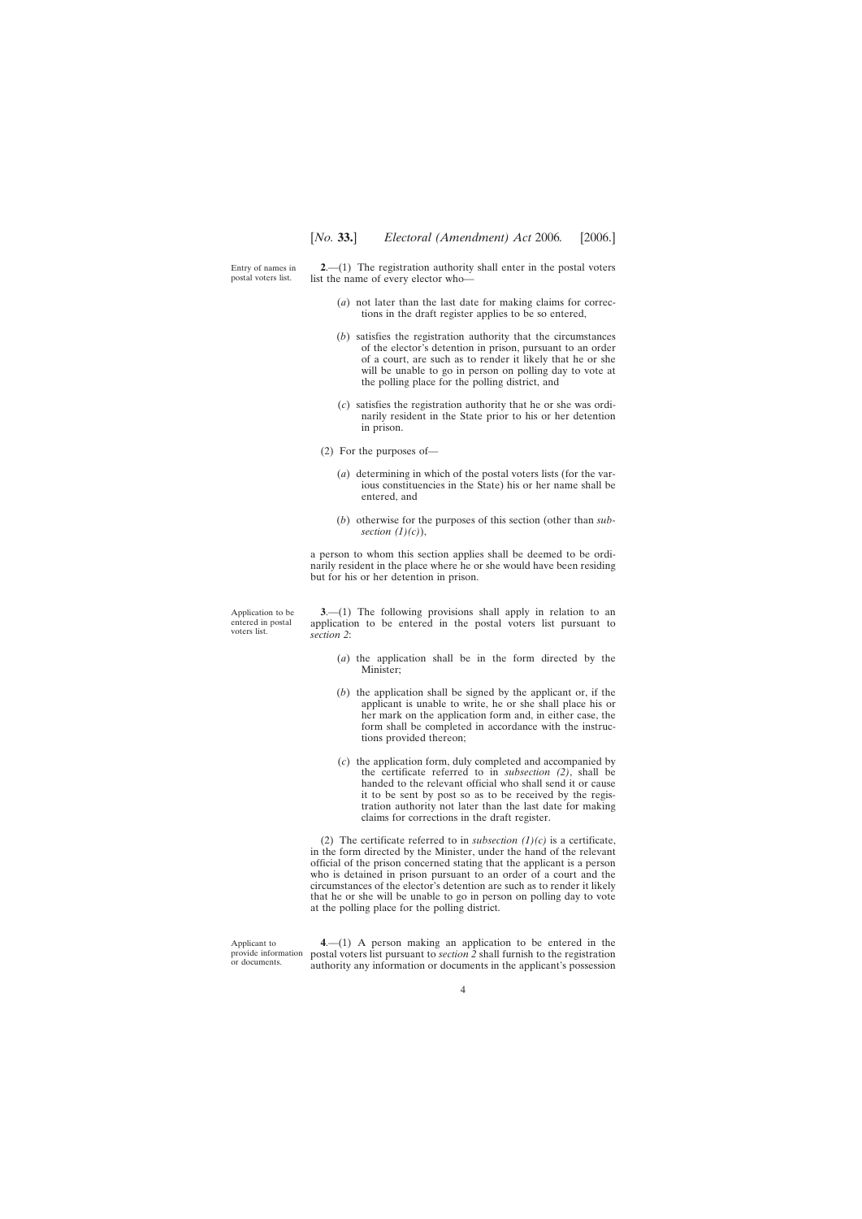<span id="page-3-0"></span>Entry of names in postal voters list.

Application to be entered in postal voters list.

**2**.—(1) The registration authority shall enter in the postal voters list the name of every elector who—

- (*a*) not later than the last date for making claims for corrections in the draft register applies to be so entered,
- (*b*) satisfies the registration authority that the circumstances of the elector's detention in prison, pursuant to an order of a court, are such as to render it likely that he or she will be unable to go in person on polling day to vote at the polling place for the polling district, and
- (*c*) satisfies the registration authority that he or she was ordinarily resident in the State prior to his or her detention in prison.
- (2) For the purposes of—
	- (*a*) determining in which of the postal voters lists (for the various constituencies in the State) his or her name shall be entered, and
	- (*b*) otherwise for the purposes of this section (other than *subsection (1)(c)*),

a person to whom this section applies shall be deemed to be ordinarily resident in the place where he or she would have been residing but for his or her detention in prison.

**3.**—(1) The following provisions shall apply in relation to an application to be entered in the postal voters list pursuant to *section 2*:

- (*a*) the application shall be in the form directed by the Minister;
- (*b*) the application shall be signed by the applicant or, if the applicant is unable to write, he or she shall place his or her mark on the application form and, in either case, the form shall be completed in accordance with the instructions provided thereon;
- (*c*) the application form, duly completed and accompanied by the certificate referred to in *subsection (2)*, shall be handed to the relevant official who shall send it or cause it to be sent by post so as to be received by the registration authority not later than the last date for making claims for corrections in the draft register.

(2) The certificate referred to in *subsection*  $(1)(c)$  is a certificate, in the form directed by the Minister, under the hand of the relevant official of the prison concerned stating that the applicant is a person who is detained in prison pursuant to an order of a court and the circumstances of the elector's detention are such as to render it likely that he or she will be unable to go in person on polling day to vote at the polling place for the polling district.

Applicant to provide information or documents.

**4**.—(1) A person making an application to be entered in the postal voters list pursuant to *section 2* shall furnish to the registration authority any information or documents in the applicant's possession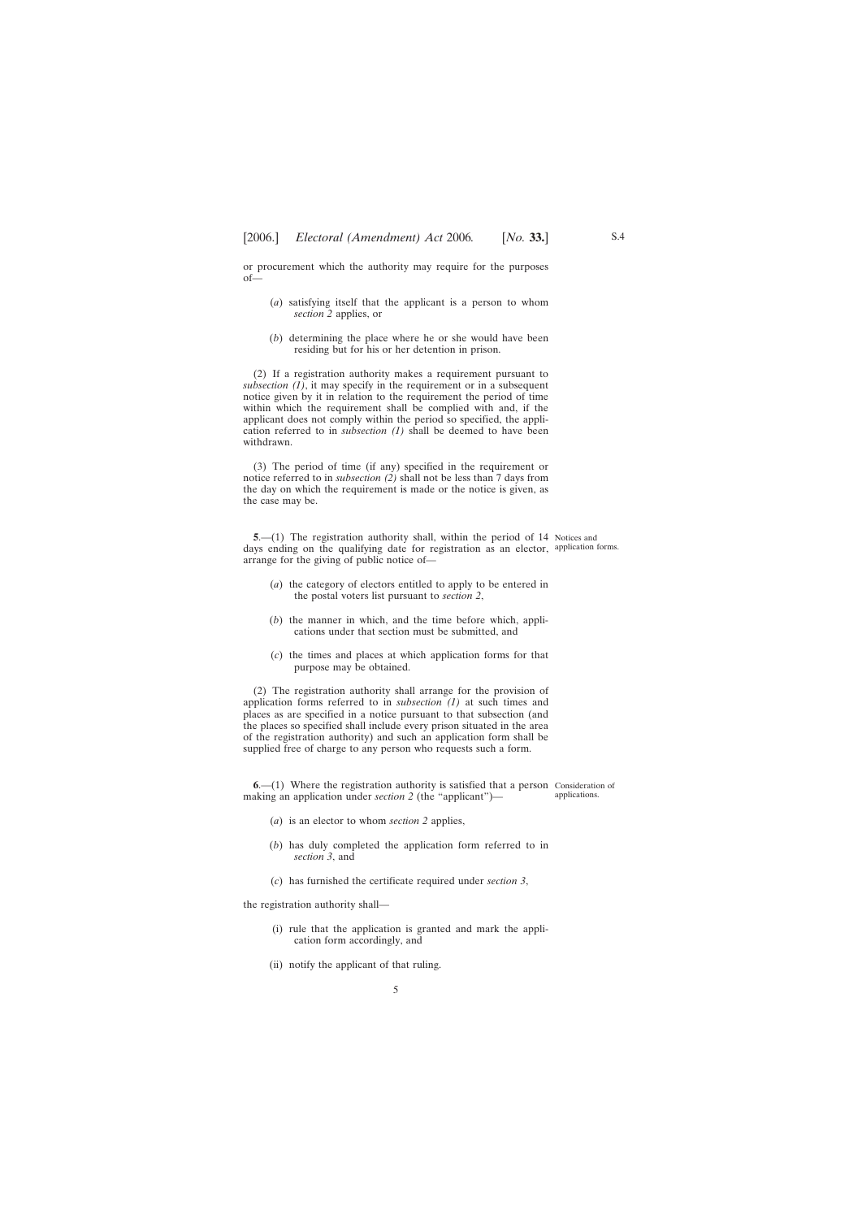<span id="page-4-0"></span>or procurement which the authority may require for the purposes of—

- (*a*) satisfying itself that the applicant is a person to whom *section 2* applies, or
- (*b*) determining the place where he or she would have been residing but for his or her detention in prison.

(2) If a registration authority makes a requirement pursuant to *subsection (1)*, it may specify in the requirement or in a subsequent notice given by it in relation to the requirement the period of time within which the requirement shall be complied with and, if the applicant does not comply within the period so specified, the application referred to in *subsection (1)* shall be deemed to have been withdrawn.

(3) The period of time (if any) specified in the requirement or notice referred to in *subsection (2)* shall not be less than 7 days from the day on which the requirement is made or the notice is given, as the case may be.

**5.**—(1) The registration authority shall, within the period of 14 Notices and days ending on the qualifying date for registration as an elector, application forms. arrange for the giving of public notice of—

- (*a*) the category of electors entitled to apply to be entered in the postal voters list pursuant to *section 2*,
- (*b*) the manner in which, and the time before which, applications under that section must be submitted, and
- (*c*) the times and places at which application forms for that purpose may be obtained.

(2) The registration authority shall arrange for the provision of application forms referred to in *subsection (1)* at such times and places as are specified in a notice pursuant to that subsection (and the places so specified shall include every prison situated in the area of the registration authority) and such an application form shall be supplied free of charge to any person who requests such a form.

**6**.—(1) Where the registration authority is satisfied that a person Consideration of making an application under *section 2* (the "applicant") applications.

- (*a*) is an elector to whom *section 2* applies,
- (*b*) has duly completed the application form referred to in *section 3*, and
- (*c*) has furnished the certificate required under *section 3*,

the registration authority shall—

(i) rule that the application is granted and mark the application form accordingly, and

5

(ii) notify the applicant of that ruling.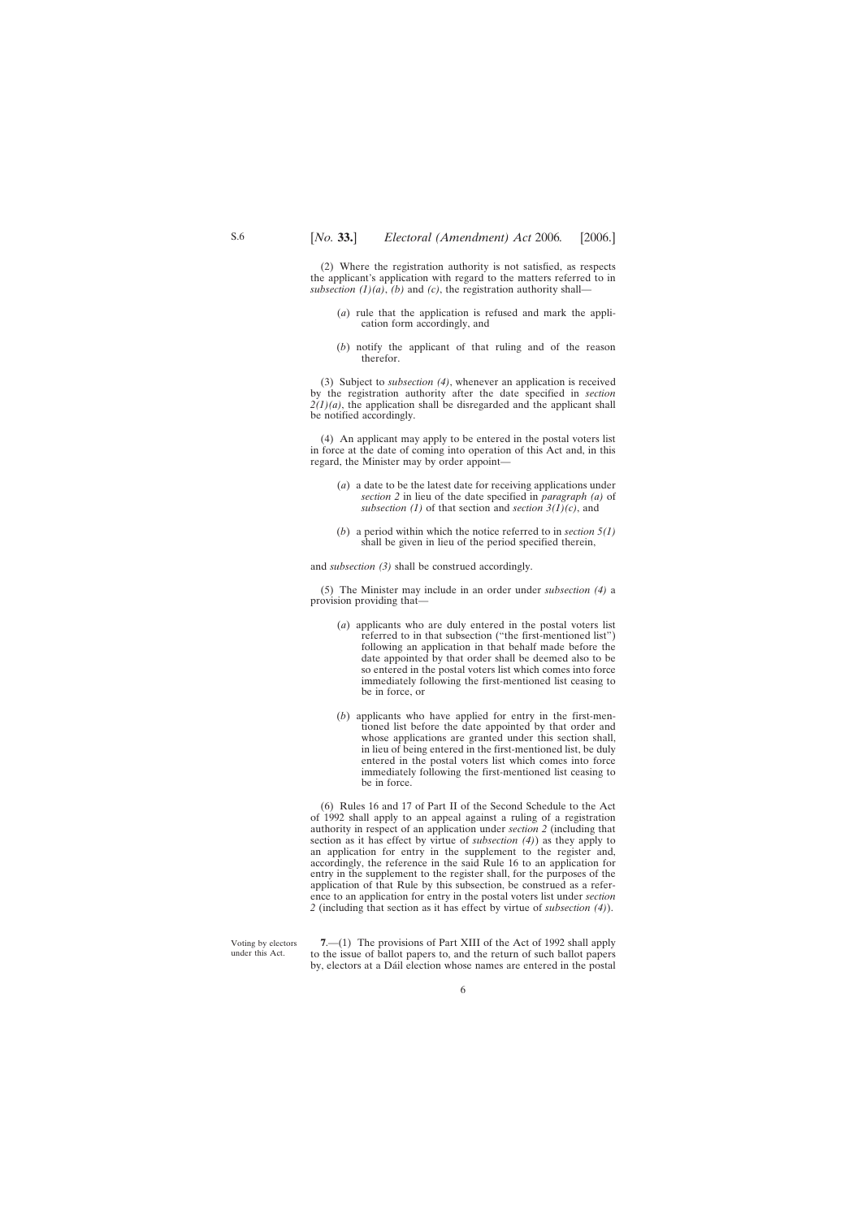<span id="page-5-0"></span>(2) Where the registration authority is not satisfied, as respects the applicant's application with regard to the matters referred to in *subsection*  $(1)(a)$ ,  $(b)$  and  $(c)$ , the registration authority shall—

- (*a*) rule that the application is refused and mark the application form accordingly, and
- (*b*) notify the applicant of that ruling and of the reason therefor.

(3) Subject to *subsection (4)*, whenever an application is received by the registration authority after the date specified in *section*  $2(1)(a)$ , the application shall be disregarded and the applicant shall be notified accordingly.

(4) An applicant may apply to be entered in the postal voters list in force at the date of coming into operation of this Act and, in this regard, the Minister may by order appoint—

- (*a*) a date to be the latest date for receiving applications under *section 2* in lieu of the date specified in *paragraph (a)* of *subsection (1)* of that section and *section 3(1)(c)*, and
- (*b*) a period within which the notice referred to in *section 5(1)* shall be given in lieu of the period specified therein,

and *subsection (3)* shall be construed accordingly.

(5) The Minister may include in an order under *subsection (4)* a provision providing that—

- (*a*) applicants who are duly entered in the postal voters list referred to in that subsection ("the first-mentioned list") following an application in that behalf made before the date appointed by that order shall be deemed also to be so entered in the postal voters list which comes into force immediately following the first-mentioned list ceasing to be in force, or
- (*b*) applicants who have applied for entry in the first-mentioned list before the date appointed by that order and whose applications are granted under this section shall, in lieu of being entered in the first-mentioned list, be duly entered in the postal voters list which comes into force immediately following the first-mentioned list ceasing to be in force.

(6) Rules 16 and 17 of Part II of the Second Schedule to the Act of 1992 shall apply to an appeal against a ruling of a registration authority in respect of an application under *section 2* (including that section as it has effect by virtue of *subsection (4)*) as they apply to an application for entry in the supplement to the register and, accordingly, the reference in the said Rule 16 to an application for entry in the supplement to the register shall, for the purposes of the application of that Rule by this subsection, be construed as a reference to an application for entry in the postal voters list under *section 2* (including that section as it has effect by virtue of *subsection (4)*).

Voting by electors under this Act.

**7**.—(1) The provisions of Part XIII of the Act of 1992 shall apply to the issue of ballot papers to, and the return of such ballot papers by, electors at a Dáil election whose names are entered in the postal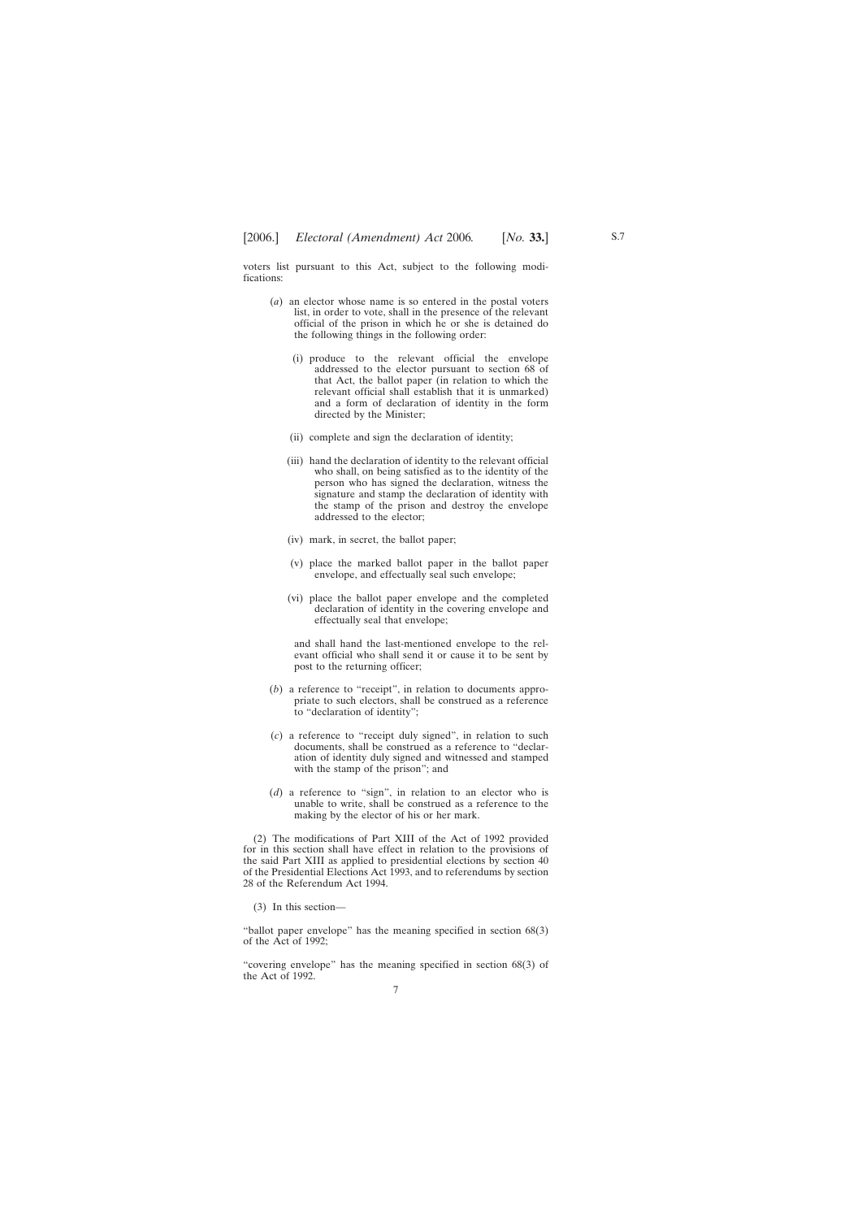voters list pursuant to this Act, subject to the following modifications:

- (*a*) an elector whose name is so entered in the postal voters list, in order to vote, shall in the presence of the relevant official of the prison in which he or she is detained do the following things in the following order:
	- (i) produce to the relevant official the envelope addressed to the elector pursuant to section 68 of that Act, the ballot paper (in relation to which the relevant official shall establish that it is unmarked) and a form of declaration of identity in the form directed by the Minister;
	- (ii) complete and sign the declaration of identity;
	- (iii) hand the declaration of identity to the relevant official who shall, on being satisfied as to the identity of the person who has signed the declaration, witness the signature and stamp the declaration of identity with the stamp of the prison and destroy the envelope addressed to the elector;
	- (iv) mark, in secret, the ballot paper;
	- (v) place the marked ballot paper in the ballot paper envelope, and effectually seal such envelope;
	- (vi) place the ballot paper envelope and the completed declaration of identity in the covering envelope and effectually seal that envelope;

and shall hand the last-mentioned envelope to the relevant official who shall send it or cause it to be sent by post to the returning officer;

- (*b*) a reference to "receipt", in relation to documents appropriate to such electors, shall be construed as a reference to "declaration of identity";
- (*c*) a reference to "receipt duly signed", in relation to such documents, shall be construed as a reference to "declaration of identity duly signed and witnessed and stamped with the stamp of the prison"; and
- (*d*) a reference to "sign", in relation to an elector who is unable to write, shall be construed as a reference to the making by the elector of his or her mark.

(2) The modifications of Part XIII of the Act of 1992 provided for in this section shall have effect in relation to the provisions of the said Part XIII as applied to presidential elections by section 40 of the Presidential Elections Act 1993, and to referendums by section 28 of the Referendum Act 1994.

(3) In this section—

"ballot paper envelope" has the meaning specified in section 68(3) of the Act of 1992;

"covering envelope" has the meaning specified in section 68(3) of the Act of 1992.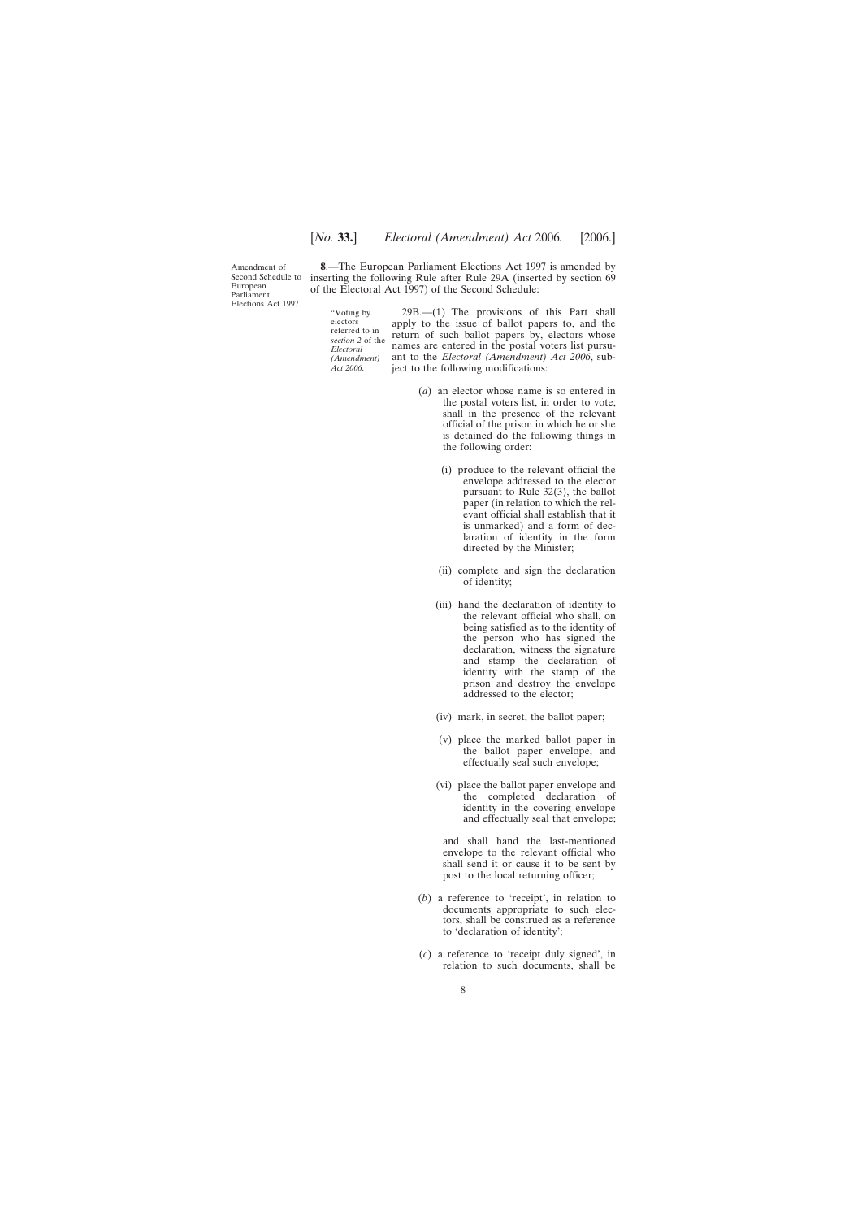<span id="page-7-0"></span>Amendment of Second Schedule to European Parliament Elections Act 1997.

**8**.—The European Parliament Elections Act 1997 is amended by inserting the following Rule after Rule 29A (inserted by section 69 of the Electoral Act 1997) of the Second Schedule:

"Voting by electors referred to in *section 2* of the *Electoral (Amendment) Act 2006*.

29B.—(1) The provisions of this Part shall apply to the issue of ballot papers to, and the return of such ballot papers by, electors whose names are entered in the postal voters list pursuant to the *Electoral (Amendment) Act 2006*, subject to the following modifications:

- (*a*) an elector whose name is so entered in the postal voters list, in order to vote, shall in the presence of the relevant official of the prison in which he or she is detained do the following things in the following order:
	- (i) produce to the relevant official the envelope addressed to the elector pursuant to Rule 32(3), the ballot paper (in relation to which the relevant official shall establish that it is unmarked) and a form of declaration of identity in the form directed by the Minister;
	- (ii) complete and sign the declaration of identity;
	- (iii) hand the declaration of identity to the relevant official who shall, on being satisfied as to the identity of the person who has signed the declaration, witness the signature and stamp the declaration of identity with the stamp of the prison and destroy the envelope addressed to the elector;
	- (iv) mark, in secret, the ballot paper;
	- (v) place the marked ballot paper in the ballot paper envelope, and effectually seal such envelope;
	- (vi) place the ballot paper envelope and the completed declaration of identity in the covering envelope and effectually seal that envelope;

and shall hand the last-mentioned envelope to the relevant official who shall send it or cause it to be sent by post to the local returning officer;

- (*b*) a reference to 'receipt', in relation to documents appropriate to such electors, shall be construed as a reference to 'declaration of identity';
- (*c*) a reference to 'receipt duly signed', in relation to such documents, shall be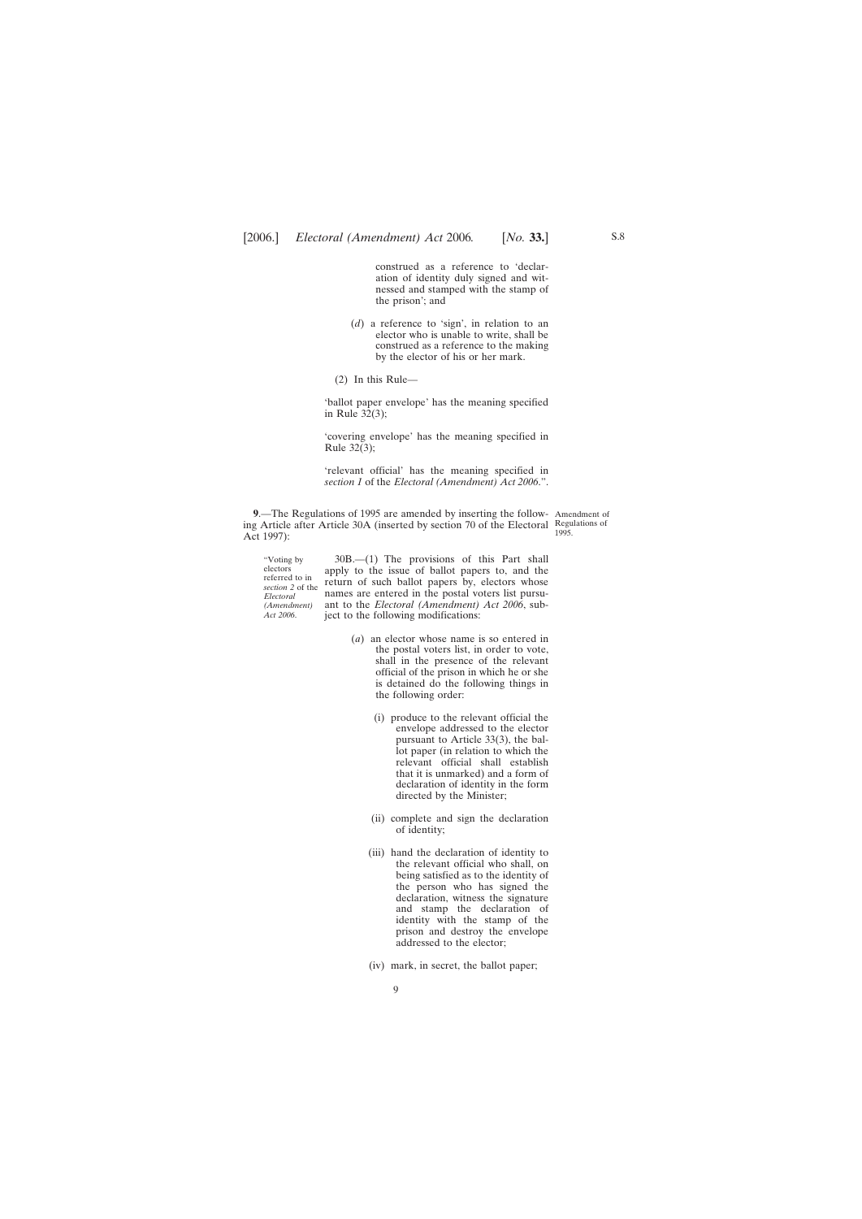<span id="page-8-0"></span>construed as a reference to 'declaration of identity duly signed and witnessed and stamped with the stamp of the prison'; and

- (*d*) a reference to 'sign', in relation to an elector who is unable to write, shall be construed as a reference to the making by the elector of his or her mark.
- (2) In this Rule—

'ballot paper envelope' has the meaning specified in Rule 32(3);

'covering envelope' has the meaning specified in Rule 32(3);

'relevant official' has the meaning specified in *section 1* of the *Electoral (Amendment) Act 2006*.".

**9**.—The Regulations of 1995 are amended by inserting the follow-Amendment of ing Article after Article 30A (inserted by section 70 of the Electoral Regulations of Act 1997):

1995.

"Voting by electors referred to in *section 2* of the *Electoral (Amendment) Act 2006*.

30B.—(1) The provisions of this Part shall apply to the issue of ballot papers to, and the return of such ballot papers by, electors whose names are entered in the postal voters list pursuant to the *Electoral (Amendment) Act 2006*, subject to the following modifications:

- (*a*) an elector whose name is so entered in the postal voters list, in order to vote, shall in the presence of the relevant official of the prison in which he or she is detained do the following things in the following order:
	- (i) produce to the relevant official the envelope addressed to the elector pursuant to Article 33(3), the ballot paper (in relation to which the relevant official shall establish that it is unmarked) and a form of declaration of identity in the form directed by the Minister;
	- (ii) complete and sign the declaration of identity;
	- (iii) hand the declaration of identity to the relevant official who shall, on being satisfied as to the identity of the person who has signed the declaration, witness the signature and stamp the declaration of identity with the stamp of the prison and destroy the envelope addressed to the elector;
	- (iv) mark, in secret, the ballot paper;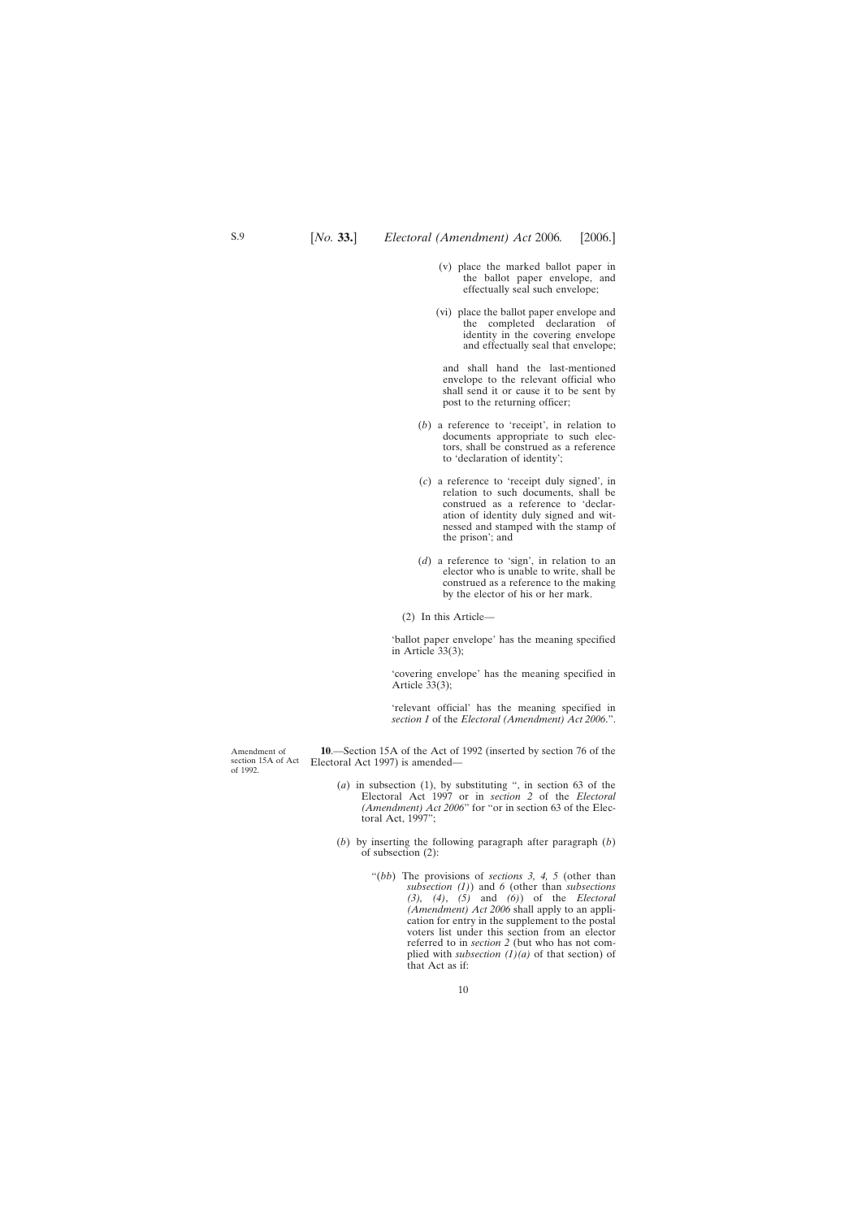- <span id="page-9-0"></span>(v) place the marked ballot paper in the ballot paper envelope, and effectually seal such envelope;
- (vi) place the ballot paper envelope and the completed declaration of identity in the covering envelope and effectually seal that envelope;

and shall hand the last-mentioned envelope to the relevant official who shall send it or cause it to be sent by post to the returning officer;

- (*b*) a reference to 'receipt', in relation to documents appropriate to such electors, shall be construed as a reference to 'declaration of identity';
- (*c*) a reference to 'receipt duly signed', in relation to such documents, shall be construed as a reference to 'declaration of identity duly signed and witnessed and stamped with the stamp of the prison'; and
- (*d*) a reference to 'sign', in relation to an elector who is unable to write, shall be construed as a reference to the making by the elector of his or her mark.

(2) In this Article—

'ballot paper envelope' has the meaning specified in Article 33(3);

'covering envelope' has the meaning specified in Article 33(3);

'relevant official' has the meaning specified in *section 1* of the *Electoral (Amendment) Act 2006*.".

**10**.—Section 15A of the Act of 1992 (inserted by section 76 of the Electoral Act 1997) is amended—

- (*a*) in subsection (1), by substituting ", in section 63 of the Electoral Act 1997 or in *section 2* of the *Electoral (Amendment) Act 2006*" for "or in section 63 of the Electoral Act, 1997";
- (*b*) by inserting the following paragraph after paragraph (*b*) of subsection (2):
	- "(*bb*) The provisions of *sections 3, 4, 5* (other than *subsection (1)*) and *6* (other than *subsections (3), (4)*, *(5)* and *(6)*) of the *Electoral (Amendment) Act 2006* shall apply to an application for entry in the supplement to the postal voters list under this section from an elector referred to in *section 2* (but who has not complied with *subsection (1)(a)* of that section) of that Act as if:

Amendment of section 15A of Act of 1992.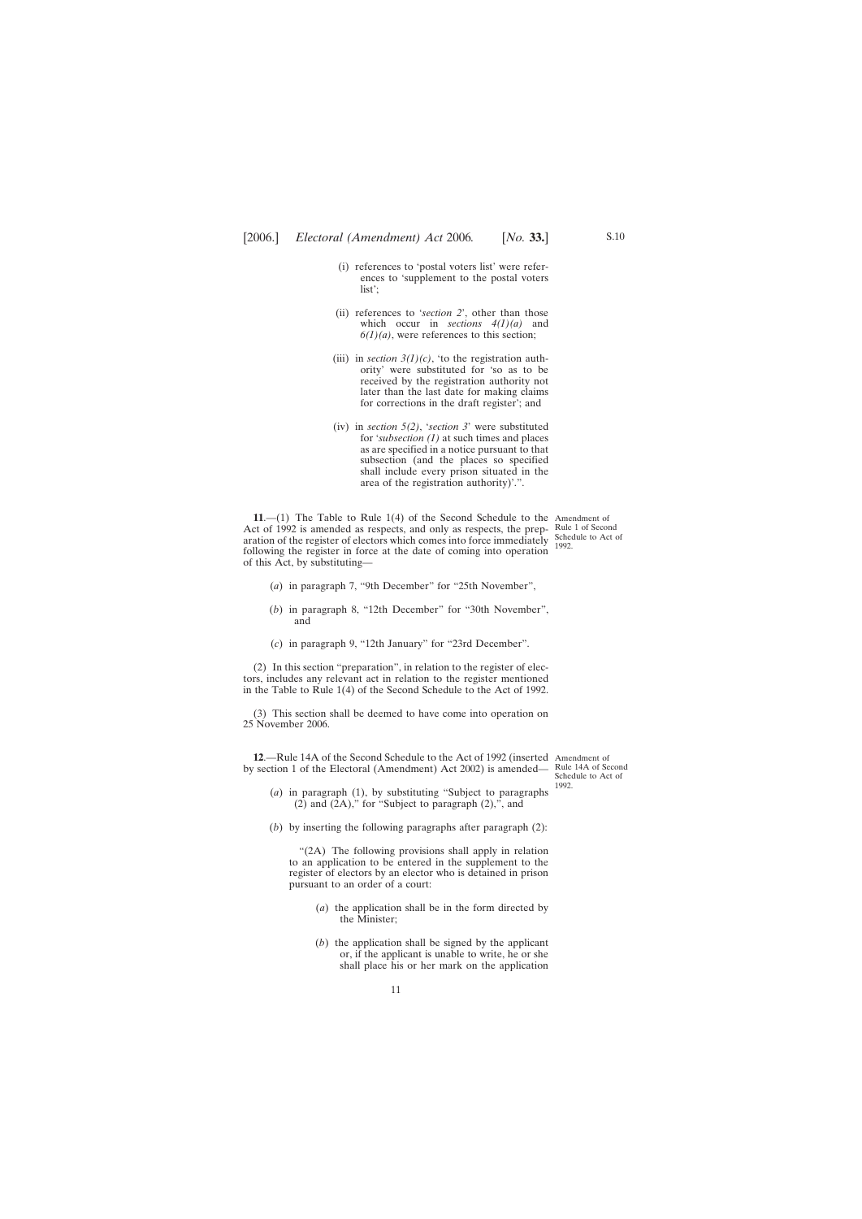- <span id="page-10-0"></span>(i) references to 'postal voters list' were references to 'supplement to the postal voters list';
- (ii) references to '*section 2*', other than those which occur in *sections 4(1)(a)* and  $6(1)(a)$ , were references to this section;
- (iii) in *section*  $3(1)(c)$ , 'to the registration authority' were substituted for 'so as to be received by the registration authority not later than the last date for making claims for corrections in the draft register'; and
- (iv) in *section 5(2)*, '*section 3*' were substituted for '*subsection (1)* at such times and places as are specified in a notice pursuant to that subsection (and the places so specified shall include every prison situated in the area of the registration authority)'.".

**11**.—(1) The Table to Rule 1(4) of the Second Schedule to the Amendment of Act of 1992 is amended as respects, and only as respects, the prep-Rule 1 of Second aration of the register of electors which comes into force immediately  $\frac{\text{Scheduled to Act of}}{1002}$ following the register in force at the date of coming into operation of this Act, by substituting—

1992.

- (*a*) in paragraph 7, "9th December" for "25th November",
- (*b*) in paragraph 8, "12th December" for "30th November", and
- (*c*) in paragraph 9, "12th January" for "23rd December".

(2) In this section "preparation", in relation to the register of electors, includes any relevant act in relation to the register mentioned in the Table to Rule 1(4) of the Second Schedule to the Act of 1992.

(3) This section shall be deemed to have come into operation on 25 November 2006.

**12**.—Rule 14A of the Second Schedule to the Act of 1992 (inserted Amendment of by section 1 of the Electoral (Amendment) Act 2002) is amended—

Rule 14A of Second Schedule to Act of 1992.

- (*a*) in paragraph (1), by substituting "Subject to paragraphs (2) and  $(2A)$ ," for "Subject to paragraph  $(2)$ ,", and
- (*b*) by inserting the following paragraphs after paragraph (2):

"(2A) The following provisions shall apply in relation to an application to be entered in the supplement to the register of electors by an elector who is detained in prison pursuant to an order of a court:

- (*a*) the application shall be in the form directed by the Minister;
- (*b*) the application shall be signed by the applicant or, if the applicant is unable to write, he or she shall place his or her mark on the application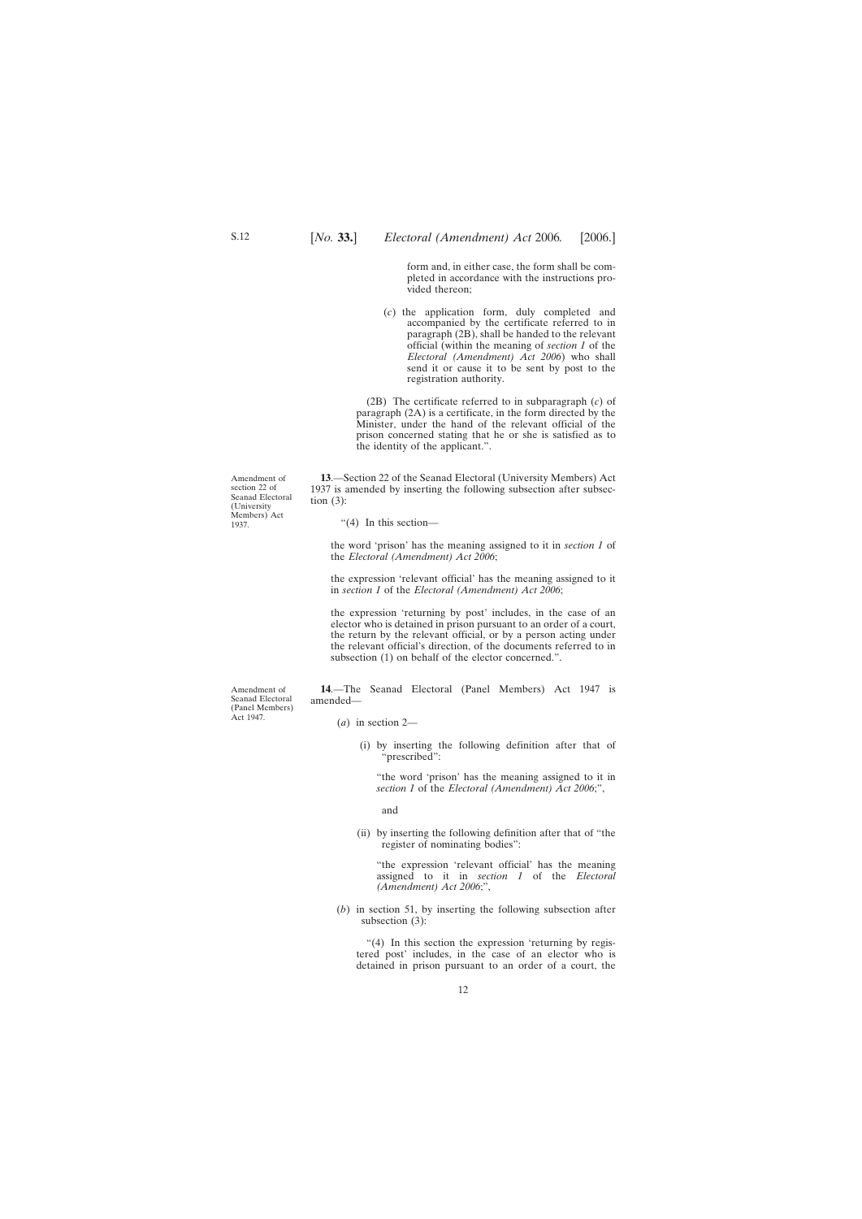form and, in either case, the form shall be completed in accordance with the instructions provided thereon;

<span id="page-11-0"></span>(*c*) the application form, duly completed and accompanied by the certificate referred to in paragraph (2B), shall be handed to the relevant official (within the meaning of *section 1* of the *Electoral (Amendment) Act 2006*) who shall send it or cause it to be sent by post to the registration authority.

(2B) The certificate referred to in subparagraph (*c*) of paragraph (2A) is a certificate, in the form directed by the Minister, under the hand of the relevant official of the prison concerned stating that he or she is satisfied as to the identity of the applicant.".

**13**.—Section 22 of the Seanad Electoral (University Members) Act 1937 is amended by inserting the following subsection after subsection  $(3)$ :

"(4) In this section—

the word 'prison' has the meaning assigned to it in *section 1* of the *Electoral (Amendment) Act 2006*;

the expression 'relevant official' has the meaning assigned to it in *section 1* of the *Electoral (Amendment) Act 2006*;

the expression 'returning by post' includes, in the case of an elector who is detained in prison pursuant to an order of a court, the return by the relevant official, or by a person acting under the relevant official's direction, of the documents referred to in subsection (1) on behalf of the elector concerned.".

**14**.—The Seanad Electoral (Panel Members) Act 1947 is amended—

- (*a*) in section 2—
	- (i) by inserting the following definition after that of "prescribed":

"the word 'prison' has the meaning assigned to it in *section 1* of the *Electoral (Amendment) Act 2006*;",

and

(ii) by inserting the following definition after that of "the register of nominating bodies":

"the expression 'relevant official' has the meaning assigned to it in *section 1* of the *Electoral (Amendment) Act 2006*;",

(*b*) in section 51, by inserting the following subsection after subsection (3):

"(4) In this section the expression 'returning by registered post' includes, in the case of an elector who is detained in prison pursuant to an order of a court, the

Amendment of section 22 of Seanad Electoral (University Members) Act 1937.

Amendment of Seanad Electoral (Panel Members) Act 1947.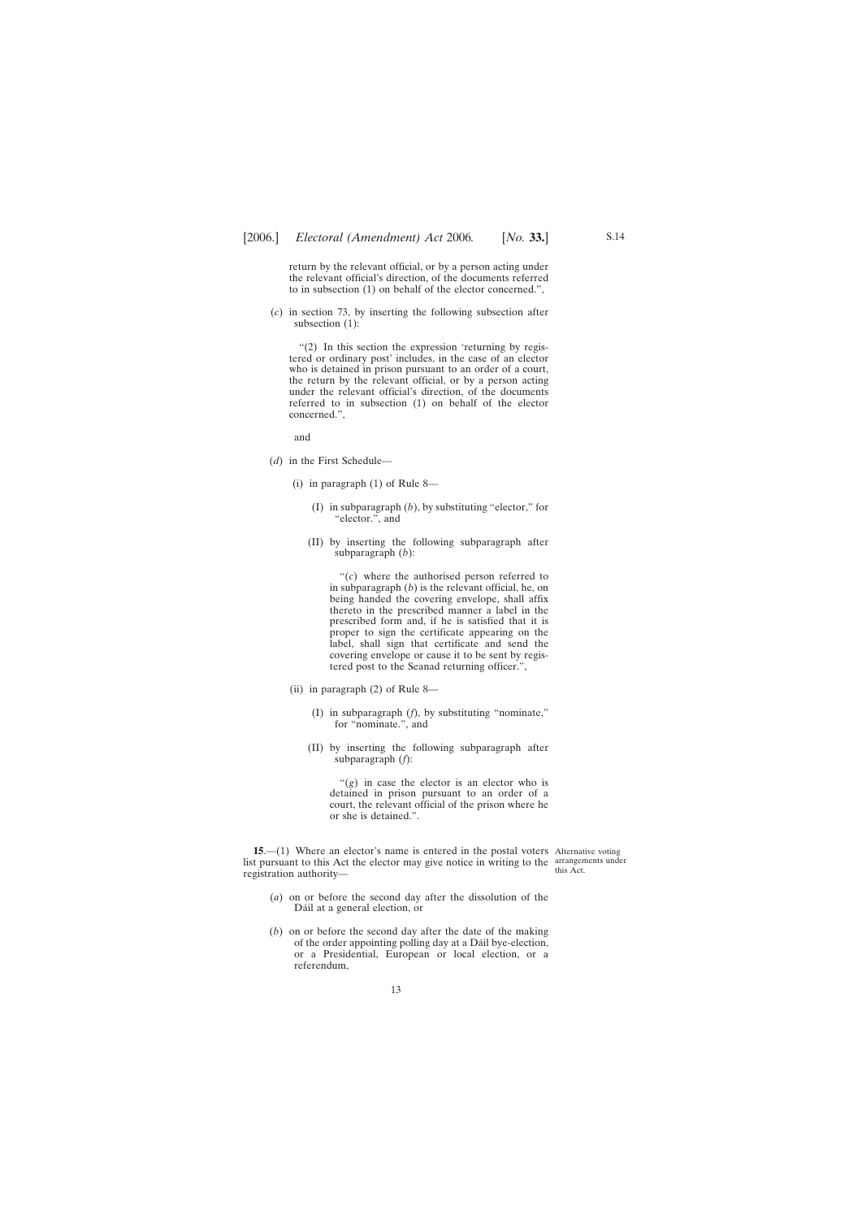<span id="page-12-0"></span>return by the relevant official, or by a person acting under the relevant official's direction, of the documents referred to in subsection (1) on behalf of the elector concerned.",

(*c*) in section 73, by inserting the following subsection after subsection (1):

"(2) In this section the expression 'returning by registered or ordinary post' includes, in the case of an elector who is detained in prison pursuant to an order of a court, the return by the relevant official, or by a person acting under the relevant official's direction, of the documents referred to in subsection (1) on behalf of the elector concerned.",

and

- (*d*) in the First Schedule—
	- (i) in paragraph (1) of Rule 8—
		- (I) in subparagraph (*b*), by substituting "elector," for "elector.", and
		- (II) by inserting the following subparagraph after subparagraph (*b*):

"(*c*) where the authorised person referred to in subparagraph (*b*) is the relevant official, he, on being handed the covering envelope, shall affix thereto in the prescribed manner a label in the prescribed form and, if he is satisfied that it is proper to sign the certificate appearing on the label, shall sign that certificate and send the covering envelope or cause it to be sent by registered post to the Seanad returning officer.",

- (ii) in paragraph (2) of Rule 8—
	- (I) in subparagraph (*f*), by substituting "nominate," for "nominate.", and
	- (II) by inserting the following subparagraph after subparagraph (*f*):

"(*g*) in case the elector is an elector who is detained in prison pursuant to an order of a court, the relevant official of the prison where he or she is detained.".

**15.**—(1) Where an elector's name is entered in the postal voters Alternative voting list pursuant to this Act the elector may give notice in writing to the arrangements under registration authority—

this Act.

- (*a*) on or before the second day after the dissolution of the Dáil at a general election, or
- (*b*) on or before the second day after the date of the making of the order appointing polling day at a Dáil bye-election, or a Presidential, European or local election, or a referendum,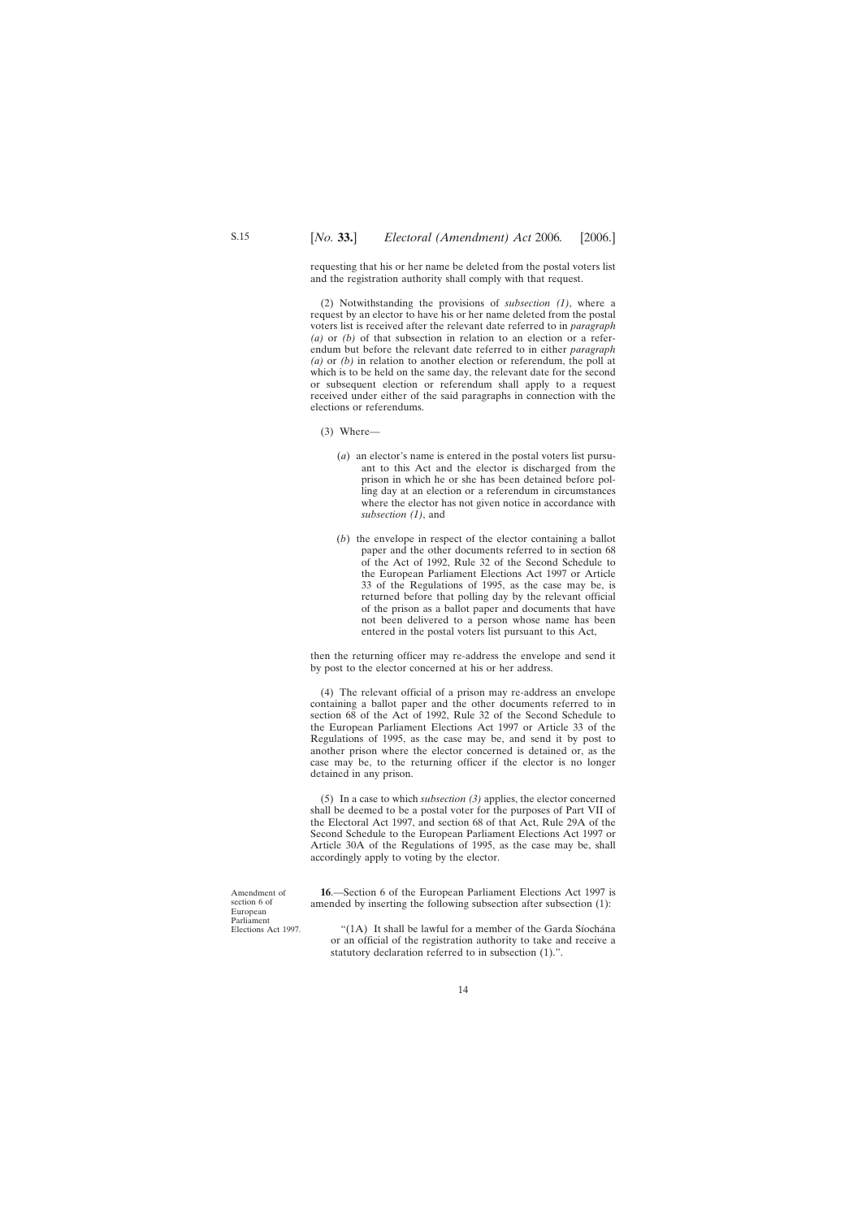<span id="page-13-0"></span>requesting that his or her name be deleted from the postal voters list and the registration authority shall comply with that request.

(2) Notwithstanding the provisions of *subsection (1)*, where a request by an elector to have his or her name deleted from the postal voters list is received after the relevant date referred to in *paragraph (a)* or *(b)* of that subsection in relation to an election or a referendum but before the relevant date referred to in either *paragraph (a)* or *(b)* in relation to another election or referendum, the poll at which is to be held on the same day, the relevant date for the second or subsequent election or referendum shall apply to a request received under either of the said paragraphs in connection with the elections or referendums.

- (3) Where—
	- (*a*) an elector's name is entered in the postal voters list pursuant to this Act and the elector is discharged from the prison in which he or she has been detained before polling day at an election or a referendum in circumstances where the elector has not given notice in accordance with *subsection (1)*, and
	- (*b*) the envelope in respect of the elector containing a ballot paper and the other documents referred to in section 68 of the Act of 1992, Rule 32 of the Second Schedule to the European Parliament Elections Act 1997 or Article 33 of the Regulations of 1995, as the case may be, is returned before that polling day by the relevant official of the prison as a ballot paper and documents that have not been delivered to a person whose name has been entered in the postal voters list pursuant to this Act,

then the returning officer may re-address the envelope and send it by post to the elector concerned at his or her address.

(4) The relevant official of a prison may re-address an envelope containing a ballot paper and the other documents referred to in section 68 of the Act of 1992, Rule 32 of the Second Schedule to the European Parliament Elections Act 1997 or Article 33 of the Regulations of 1995, as the case may be, and send it by post to another prison where the elector concerned is detained or, as the case may be, to the returning officer if the elector is no longer detained in any prison.

(5) In a case to which *subsection (3)* applies, the elector concerned shall be deemed to be a postal voter for the purposes of Part VII of the Electoral Act 1997, and section 68 of that Act, Rule 29A of the Second Schedule to the European Parliament Elections Act 1997 or Article 30A of the Regulations of 1995, as the case may be, shall accordingly apply to voting by the elector.

Amendment of section 6 of European Parliament Elections Act 1997.

**16**.—Section 6 of the European Parliament Elections Act 1997 is amended by inserting the following subsection after subsection (1):

"(1A) It shall be lawful for a member of the Garda Síochána or an official of the registration authority to take and receive a statutory declaration referred to in subsection (1).".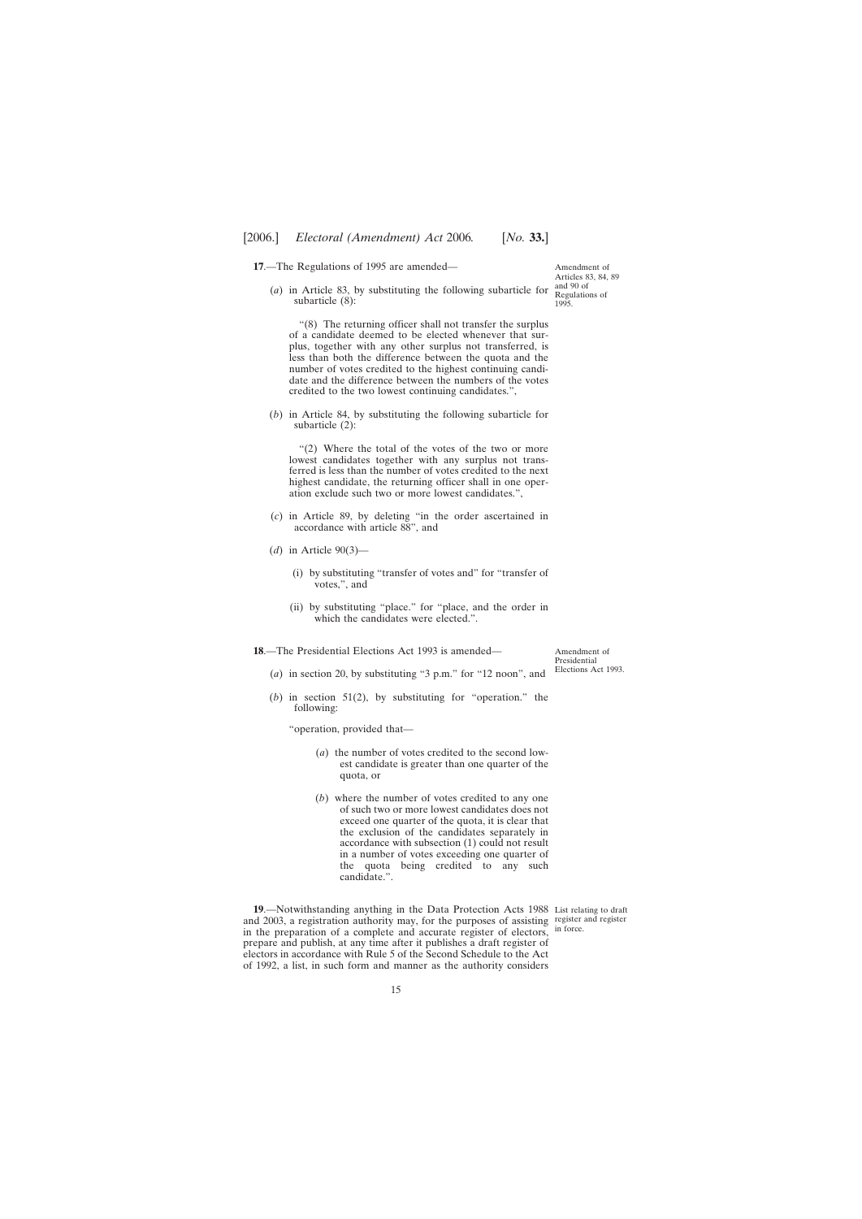<span id="page-14-0"></span>**17**.—The Regulations of 1995 are amended—

(*a*) in Article 83, by substituting the following subarticle for subarticle (8):

"(8) The returning officer shall not transfer the surplus of a candidate deemed to be elected whenever that surplus, together with any other surplus not transferred, is less than both the difference between the quota and the number of votes credited to the highest continuing candidate and the difference between the numbers of the votes credited to the two lowest continuing candidates.",

(*b*) in Article 84, by substituting the following subarticle for subarticle (2):

"(2) Where the total of the votes of the two or more lowest candidates together with any surplus not transferred is less than the number of votes credited to the next highest candidate, the returning officer shall in one operation exclude such two or more lowest candidates.",

- (*c*) in Article 89, by deleting "in the order ascertained in accordance with article 88", and
- (*d*) in Article 90(3)—
	- (i) by substituting "transfer of votes and" for "transfer of votes,", and
	- (ii) by substituting "place." for "place, and the order in which the candidates were elected.".

**18**.—The Presidential Elections Act 1993 is amended—

Amendment of Presidential Elections Act 1993.

- (*a*) in section 20, by substituting "3 p.m." for "12 noon", and
- (*b*) in section 51(2), by substituting for "operation." the following:

"operation, provided that—

- (*a*) the number of votes credited to the second lowest candidate is greater than one quarter of the quota, or
- (*b*) where the number of votes credited to any one of such two or more lowest candidates does not exceed one quarter of the quota, it is clear that the exclusion of the candidates separately in accordance with subsection (1) could not result in a number of votes exceeding one quarter of the quota being credited to any such candidate.".

**19**.—Notwithstanding anything in the Data Protection Acts 1988 List relating to draft and 2003, a registration authority may, for the purposes of assisting register and register in the preparation of a complete and accurate register of electors, prepare and publish, at any time after it publishes a draft register of electors in accordance with Rule 5 of the Second Schedule to the Act of 1992, a list, in such form and manner as the authority considers

in force.

Amendment of Articles 83, 84, 89 and 90 of Regulations of 1995.